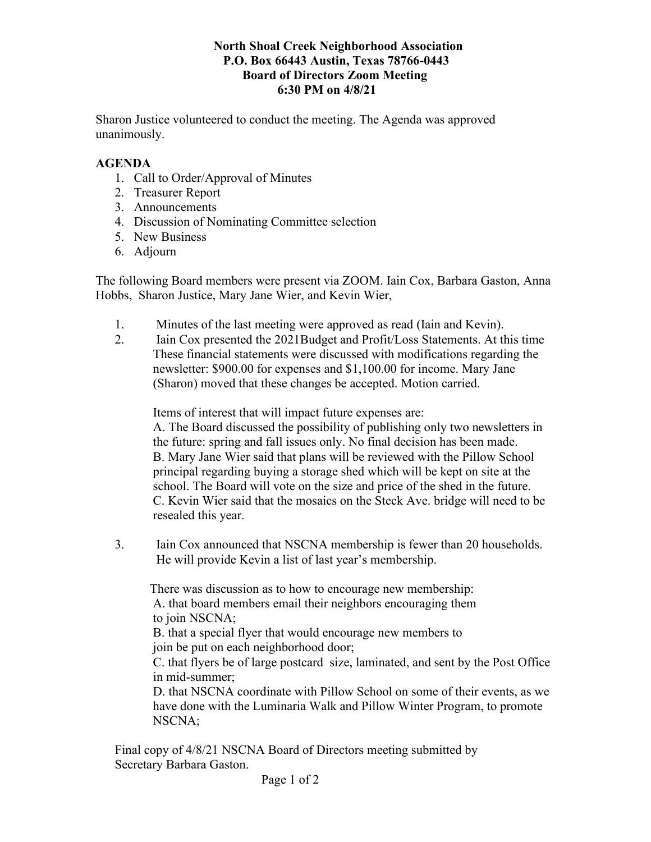## **North Shoal Creek Neighborhood Association P.O. Box 66443 Austin, Texas 78766-0443 Board of Directors Zoom Meeting 6:30 PM on 4/8/21**

Sharon Justice volunteered to conduct the meeting. The Agenda was approved unanimously.

## **AGENDA**

- 1. Call to Order/Approval of Minutes
- 2. Treasurer Report
- 3. Announcements
- 4. Discussion of Nominating Committee selection
- 5. New Business
- 6. Adjourn

The following Board members were present via ZOOM. Iain Cox, Barbara Gaston, Anna Hobbs, Sharon Justice, Mary Jane Wier, and Kevin Wier,

- 1. Minutes of the last meeting were approved as read (Iain and Kevin).
- 2. Iain Cox presented the 2021Budget and Profit/Loss Statements. At this time These financial statements were discussed with modifications regarding the newsletter: \$900.00 for expenses and \$1,100.00 for income. Mary Jane (Sharon) moved that these changes be accepted. Motion carried.

Items of interest that will impact future expenses are:

 A. The Board discussed the possibility of publishing only two newsletters in the future: spring and fall issues only. No final decision has been made. B. Mary Jane Wier said that plans will be reviewed with the Pillow School principal regarding buying a storage shed which will be kept on site at the school. The Board will vote on the size and price of the shed in the future. C. Kevin Wier said that the mosaics on the Steck Ave. bridge will need to be resealed this year.

3. Iain Cox announced that NSCNA membership is fewer than 20 households. He will provide Kevin a list of last year's membership.

 There was discussion as to how to encourage new membership: A. that board members email their neighbors encouraging them to join NSCNA;

 B. that a special flyer that would encourage new members to join be put on each neighborhood door;

 C. that flyers be of large postcard size, laminated, and sent by the Post Office in mid-summer;

 D. that NSCNA coordinate with Pillow School on some of their events, as we have done with the Luminaria Walk and Pillow Winter Program, to promote NSCNA;

Final copy of 4/8/21 NSCNA Board of Directors meeting submitted by Secretary Barbara Gaston.